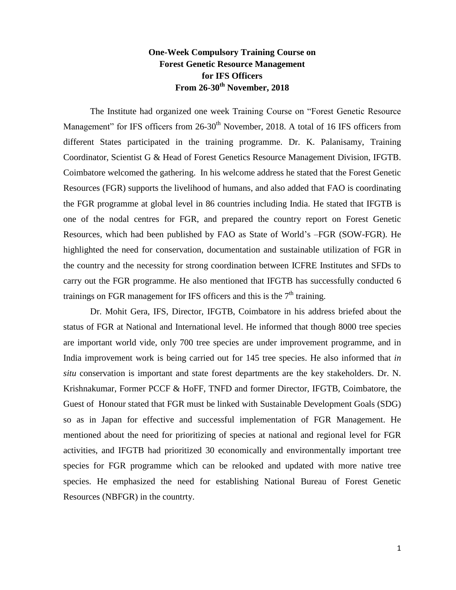## **One-Week Compulsory Training Course on Forest Genetic Resource Management for IFS Officers From 26-30th November, 2018**

The Institute had organized one week Training Course on "Forest Genetic Resource Management" for IFS officers from 26-30<sup>th</sup> November, 2018. A total of 16 IFS officers from different States participated in the training programme. Dr. K. Palanisamy, Training Coordinator, Scientist G & Head of Forest Genetics Resource Management Division, IFGTB. Coimbatore welcomed the gathering. In his welcome address he stated that the Forest Genetic Resources (FGR) supports the livelihood of humans, and also added that FAO is coordinating the FGR programme at global level in 86 countries including India. He stated that IFGTB is one of the nodal centres for FGR, and prepared the country report on Forest Genetic Resources, which had been published by FAO as State of World's –FGR (SOW-FGR). He highlighted the need for conservation, documentation and sustainable utilization of FGR in the country and the necessity for strong coordination between ICFRE Institutes and SFDs to carry out the FGR programme. He also mentioned that IFGTB has successfully conducted 6 trainings on FGR management for IFS officers and this is the  $7<sup>th</sup>$  training.

Dr. Mohit Gera, IFS, Director, IFGTB, Coimbatore in his address briefed about the status of FGR at National and International level. He informed that though 8000 tree species are important world vide, only 700 tree species are under improvement programme, and in India improvement work is being carried out for 145 tree species. He also informed that *in situ* conservation is important and state forest departments are the key stakeholders. Dr. N. Krishnakumar, Former PCCF & HoFF, TNFD and former Director, IFGTB, Coimbatore, the Guest of Honour stated that FGR must be linked with Sustainable Development Goals (SDG) so as in Japan for effective and successful implementation of FGR Management. He mentioned about the need for prioritizing of species at national and regional level for FGR activities, and IFGTB had prioritized 30 economically and environmentally important tree species for FGR programme which can be relooked and updated with more native tree species. He emphasized the need for establishing National Bureau of Forest Genetic Resources (NBFGR) in the countrty.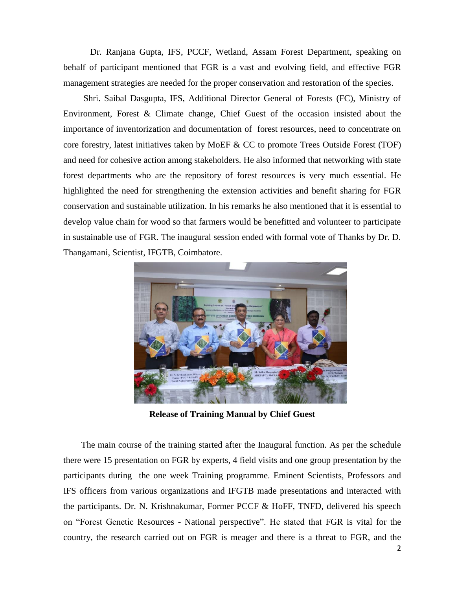Dr. Ranjana Gupta, IFS, PCCF, Wetland, Assam Forest Department, speaking on behalf of participant mentioned that FGR is a vast and evolving field, and effective FGR management strategies are needed for the proper conservation and restoration of the species.

 Shri. Saibal Dasgupta, IFS, Additional Director General of Forests (FC), Ministry of Environment, Forest & Climate change, Chief Guest of the occasion insisted about the importance of inventorization and documentation of forest resources, need to concentrate on core forestry, latest initiatives taken by MoEF & CC to promote Trees Outside Forest (TOF) and need for cohesive action among stakeholders. He also informed that networking with state forest departments who are the repository of forest resources is very much essential. He highlighted the need for strengthening the extension activities and benefit sharing for FGR conservation and sustainable utilization. In his remarks he also mentioned that it is essential to develop value chain for wood so that farmers would be benefitted and volunteer to participate in sustainable use of FGR. The inaugural session ended with formal vote of Thanks by Dr. D. Thangamani, Scientist, IFGTB, Coimbatore.



**Release of Training Manual by Chief Guest**

 The main course of the training started after the Inaugural function. As per the schedule there were 15 presentation on FGR by experts, 4 field visits and one group presentation by the participants during the one week Training programme. Eminent Scientists, Professors and IFS officers from various organizations and IFGTB made presentations and interacted with the participants. Dr. N. Krishnakumar, Former PCCF & HoFF, TNFD, delivered his speech on "Forest Genetic Resources - National perspective". He stated that FGR is vital for the country, the research carried out on FGR is meager and there is a threat to FGR, and the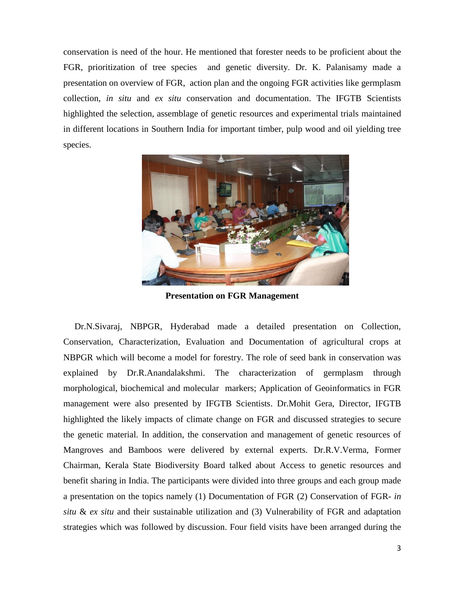conservation is need of the hour. He mentioned that forester needs to be proficient about the FGR, prioritization of tree species and genetic diversity. Dr. K. Palanisamy made a presentation on overview of FGR, action plan and the ongoing FGR activities like germplasm collection, *in situ* and *ex situ* conservation and documentation. The IFGTB Scientists highlighted the selection, assemblage of genetic resources and experimental trials maintained in different locations in Southern India for important timber, pulp wood and oil yielding tree species.



**Presentation on FGR Management**

 Dr.N.Sivaraj, NBPGR, Hyderabad made a detailed presentation on Collection, Conservation, Characterization, Evaluation and Documentation of agricultural crops at NBPGR which will become a model for forestry. The role of seed bank in conservation was explained by Dr.R.Anandalakshmi. The characterization of germplasm through morphological, biochemical and molecular markers; Application of Geoinformatics in FGR management were also presented by IFGTB Scientists. Dr.Mohit Gera, Director, IFGTB highlighted the likely impacts of climate change on FGR and discussed strategies to secure the genetic material. In addition, the conservation and management of genetic resources of Mangroves and Bamboos were delivered by external experts. Dr.R.V.Verma, Former Chairman, Kerala State Biodiversity Board talked about Access to genetic resources and benefit sharing in India. The participants were divided into three groups and each group made a presentation on the topics namely (1) Documentation of FGR (2) Conservation of FGR- *in situ* & *ex situ* and their sustainable utilization and (3) Vulnerability of FGR and adaptation strategies which was followed by discussion. Four field visits have been arranged during the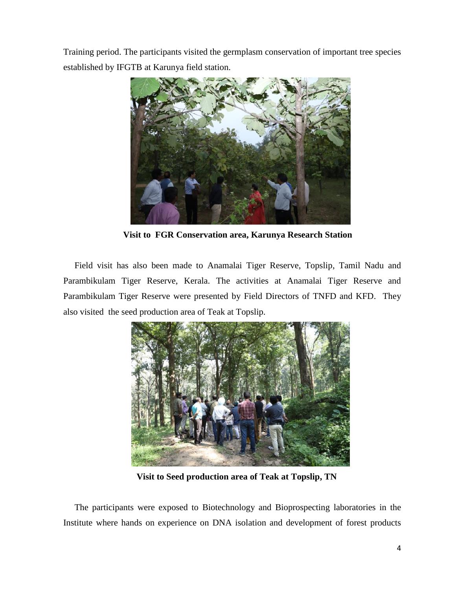Training period. The participants visited the germplasm conservation of important tree species established by IFGTB at Karunya field station.



 **Visit to FGR Conservation area, Karunya Research Station**

 Field visit has also been made to Anamalai Tiger Reserve, Topslip, Tamil Nadu and Parambikulam Tiger Reserve, Kerala. The activities at Anamalai Tiger Reserve and Parambikulam Tiger Reserve were presented by Field Directors of TNFD and KFD. They also visited the seed production area of Teak at Topslip.



 **Visit to Seed production area of Teak at Topslip, TN**

 The participants were exposed to Biotechnology and Bioprospecting laboratories in the Institute where hands on experience on DNA isolation and development of forest products